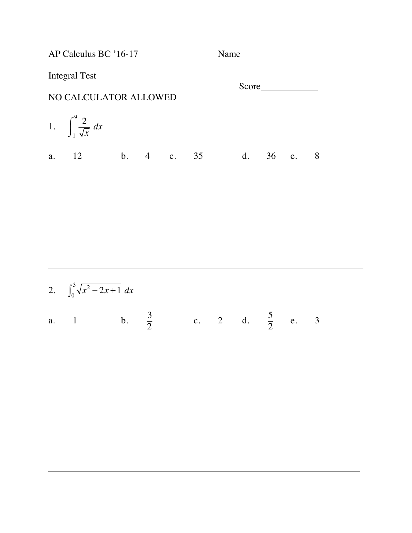AP Calculus BC '16-17 Name Integral Test Score NO CALCULATOR ALLOWED 1.  $\int_{0}^{9} \frac{2}{f}$ *x dx* 1  $\int^{9}$  $\int$ a. 12 b. 4 c. 35 d. 36 e. 8

| 2. $\int_0^3 \sqrt{x^2 - 2x + 1} dx$             |  |  |  |  |  |
|--------------------------------------------------|--|--|--|--|--|
| a. 1 b. $\frac{3}{2}$ c. 2 d. $\frac{5}{2}$ e. 3 |  |  |  |  |  |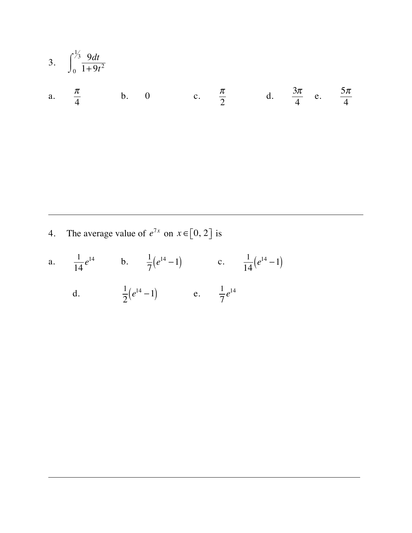3. 
$$
\int_0^{\frac{1}{3}} \frac{9dt}{1+9t^2}
$$
  
\na.  $\frac{\pi}{4}$  b. 0 c.  $\frac{\pi}{2}$  d.  $\frac{3\pi}{4}$  e.  $\frac{5\pi}{4}$ 

4. The average value of  $e^{7x}$  on  $x \in [0, 2]$  is

a. 
$$
\frac{1}{14}e^{14}
$$
 b.  $\frac{1}{7}(e^{14}-1)$  c.  $\frac{1}{14}(e^{14}-1)$ 

d.  $\frac{1}{2}(e^{14}-1)$  e.  $\frac{1}{7}e^{14}$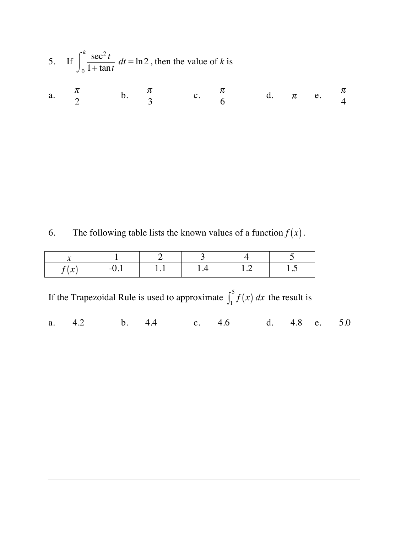5. If 
$$
\int_0^k \frac{\sec^2 t}{1 + \tan t} dt = \ln 2
$$
, then the value of *k* is  
a.  $\frac{\pi}{2}$  b.  $\frac{\pi}{3}$  c.  $\frac{\pi}{6}$  d.  $\pi$  e.  $\frac{\pi}{4}$ 

4

l

6. The following table lists the known values of a function  $f(x)$ .

| $\mathbf{A}$                      |       |              |   |      |      |
|-----------------------------------|-------|--------------|---|------|------|
| $\mathbf{A}$<br>$\sim$<br>$\cdot$ | $-U.$ | <b>T</b> . T | . | ⊥ .∠ | 1 .J |

If the Trapezoidal Rule is used to approximate  $\int_1^5 f(x) dx$  the result is

a. 4.2 b. 4.4 c. 4.6 d. 4.8 e. 5.0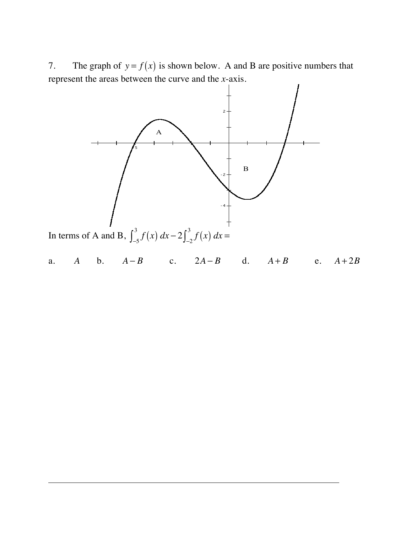7. The graph of  $y = f(x)$  is shown below. A and B are positive numbers that represent the areas between the curve and the *x*-axis.



a. *A* b. *A* − *B* c. 2*A* − *B* d. *A* + *B* e. *A* + 2*B*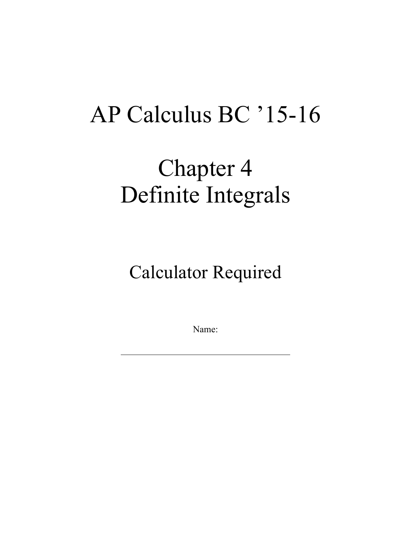## AP Calculus BC '15-16

## Chapter 4 Definite Integrals

Calculator Required

Name: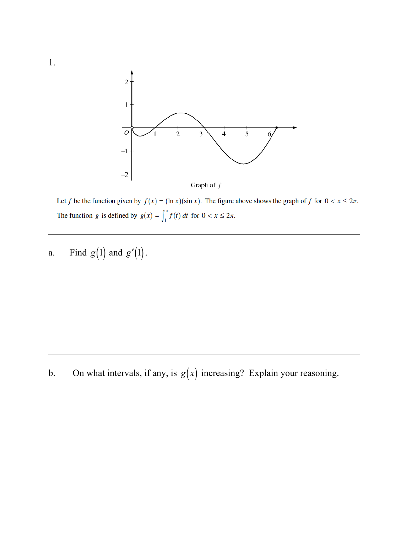

Let f be the function given by  $f(x) = (\ln x)(\sin x)$ . The figure above shows the graph of f for  $0 < x \le 2\pi$ . The function g is defined by  $g(x) = \int_1^x f(t) dt$  for  $0 < x \le 2\pi$ .

a. Find  $g(1)$  and  $g'(1)$ .

b. On what intervals, if any, is  $g(x)$  increasing? Explain your reasoning.

1.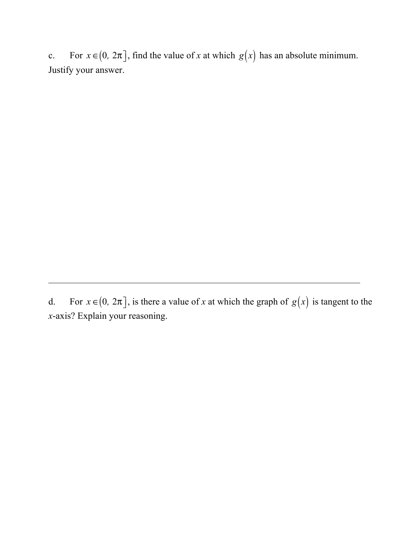c. For  $x \in (0, 2\pi]$ , find the value of *x* at which  $g(x)$  has an absolute minimum. Justify your answer.

d. For  $x \in (0, 2\pi]$ , is there a value of *x* at which the graph of  $g(x)$  is tangent to the *x*-axis? Explain your reasoning.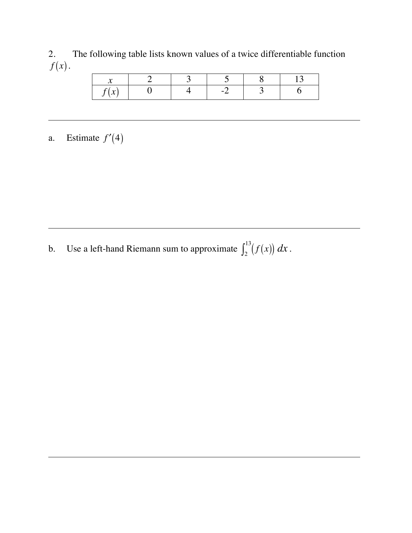2. The following table lists known values of a twice differentiable function  $f(x)$ .

| $\mathbf{A}$<br>$\sim$ |  |  |  |
|------------------------|--|--|--|

## a. Estimate  $f'(4)$

b. Use a left-hand Riemann sum to approximate  $\int_2^{13} (f(x)) dx$ .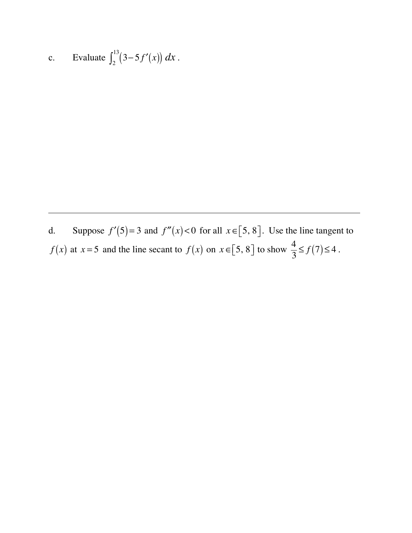c. Evaluate 
$$
\int_2^{13} (3 - 5f'(x)) dx
$$
.

d. Suppose  $f'(5) = 3$  and  $f''(x) < 0$  for all  $x \in [5, 8]$ . Use the line tangent to *f*(*x*) at *x* = 5 and the line secant to *f*(*x*) on *x* ∈[5, 8] to show  $\frac{4}{3} \le f(7) \le 4$ .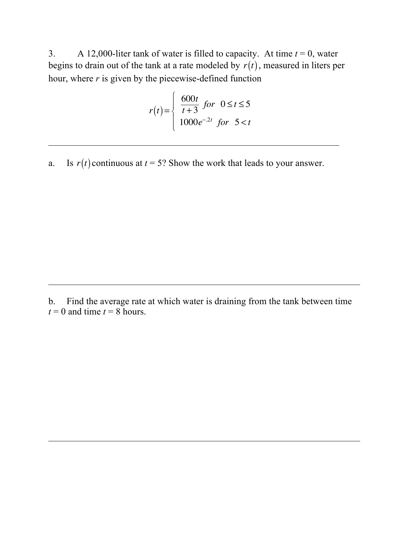3. A 12,000-liter tank of water is filled to capacity. At time  $t = 0$ , water begins to drain out of the tank at a rate modeled by  $r(t)$ , measured in liters per hour, where *r* is given by the piecewise-defined function

$$
r(t) = \begin{cases} \frac{600t}{t+3} & \text{for } 0 \le t \le 5\\ 1000e^{-2t} & \text{for } 5 < t \end{cases}
$$

a. Is  $r(t)$  continuous at  $t = 5$ ? Show the work that leads to your answer.

b. Find the average rate at which water is draining from the tank between time  $t = 0$  and time  $t = 8$  hours.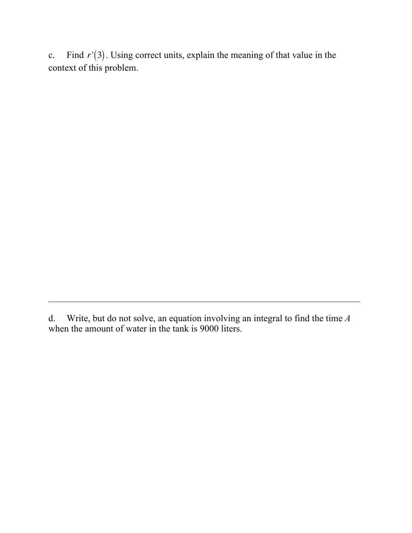c. Find  $r'(3)$ . Using correct units, explain the meaning of that value in the context of this problem.

d. Write, but do not solve, an equation involving an integral to find the time *A*  when the amount of water in the tank is 9000 liters.